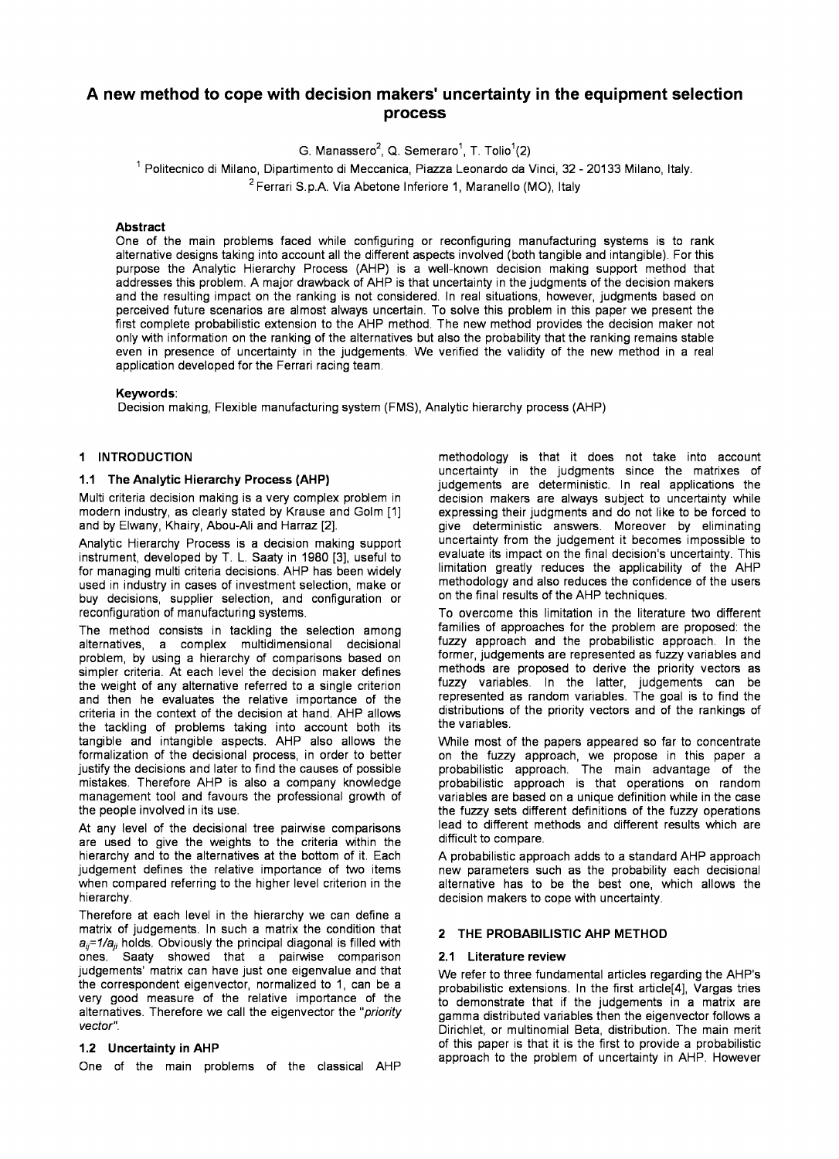# **A new method to cope with decision makers' uncertainty in the equipment selection process**

G. Manassero<sup>2</sup>, Q. Semeraro<sup>1</sup>, T. Tolio<sup>1</sup>(2)

 $^{\text{\tiny{\textup{1}}}}$  Politecnico di Milano, Dipartimento di Meccanica, Piazza Leonardo da Vinci, 32 - 20133 Milano, Italy.  $2$  Ferrari S.p.A. Via Abetone Inferiore 1, Maranello (MO), Italy

#### **Abstract**

One of the main problems faced while configuring or reconfiguring manufacturing systems is to rank alternative designs taking into account all the different aspects involved (both tangible and intangible). For this purpose the Analytic Hierarchy Process (AHP) is a well-known decision making support method that addresses this problem. A major drawback of AHP is that uncertainty in the judgments of the decision makers and the resulting impact on the ranking is not considered. In real situations, however, judgments based on perceived future scenarios are almost always uncertain. To solve this problem in this paper we present the first complete probabilistic extension to the AHP method. The new method provides the decision maker not only with information on the ranking of the alternatives but also the probability that the ranking remains stable even in presence of uncertainty in the judgements. We verified the validity of the new method in a real application developed for the Ferrari racing team.

#### **Keywords:**

Decision making, Flexible manufacturing system (FMS), Analytic hierarchy process (AHP)

# **1 INTRODUCTION**

## **1.1 The Analytic Hierarchy Process (AHP)**

Multi criteria decision making is a very complex problem in modern industry, as clearly stated by Krause and Golm [I] and by Elwany, Khairy, Abou-Ali and Harraz [2].

Analytic Hierarchy Process is a decision making support instrument, developed by T. L. Saaty in 1980 [3], useful to for managing multi criteria decisions. AHP has been widely used in industry in cases of investment selection, make or buy decisions, supplier selection, and configuration or reconfiguration of manufacturing systems.

The method consists in tackling the selection among alternatives, a complex multidimensional decisional problem, by using a hierarchy of comparisons based on simpler criteria. At each level the decision maker defines the weight of any alternative referred to a single criterion and then he evaluates the relative importance of the criteria in the context of the decision at hand. AHP allows the tackling of problems taking into account both its tangible and intangible aspects. AHP also allows the formalization of the decisional process, in order to better justify the decisions and later to find the causes of possible mistakes. Therefore AHP is also a company knowledge management tool and favours the professional growth of the people involved in its use.

At any level of the decisional tree pairwise comparisons are used to give the weights to the criteria within the hierarchy and to the alternatives at the bottom of it. Each judgement defines the relative importance of two items when compared referring to the higher level criterion in the hierarchy.

Therefore at each level in the hierarchy we can define a matrix of judgements. In such a matrix the condition that  $a_{ii}$ =1/a<sub>ii</sub> holds. Obviously the principal diagonal is filled with ones. Saaty showed that a pairwise comparison judgements' matrix can have just one eigenvalue and that the correspondent eigenvector, normalized to 1, can be a very good measure of the relative importance of the alternatives. Therefore we call the eigenvector the *"priority vector".* 

#### **1.2 Uncertainty in AHP**

One of the main problems of the classical AHP

methodology is that it does not take into account uncertainty in the judgments since the matrixes of judgements are deterministic. In real applications the decision makers are always subject to uncertainty while expressing their judgments and do not like to be forced to give deterministic answers. Moreover by eliminating uncertainty from the judgement it becomes impossible to evaluate its impact on the final decision's uncertainty. This limitation greatly reduces the applicability of the AHP methodology and also reduces the confidence of the users on the final results of the AHP techniques.

To overcome this limitation in the literature two different families of approaches for the problem are proposed: the fuzzy approach and the probabilistic approach. In the former, judgements are represented as fuzzy variables and methods are proposed to derive the priority vectors as fuzzy variables. In the latter, judgements can be represented as random variables. The goal is to find the distributions of the priority vectors and of the rankings of the variables.

While most of the papers appeared **so** far to concentrate on the fuzzy approach, we propose in this paper a probabilistic approach. The main advantage of the probabilistic approach is that operations on random variables are based on a unique definition while in the case the fuzzy sets different definitions of the fuzzy operations lead to different methods and different results which are difficult to compare.

A probabilistic approach adds to a standard AHP approach new parameters such as the probability each decisional alternative has to be the best one, which allows the decision makers to cope with uncertainty.

# **2 THE PROBABILISTIC AHP METHOD**

#### **2.1 Literature review**

We refer to three fundamental articles regarding the AHP's probabilistic extensions. In the first article[4], Vargas tries to demonstrate that if the judgements in a matrix are gamma distributed variables then the eigenvector follows a Dirichlet, or multinomial Beta, distribution. The main merit of this paper is that it is the first to provide a probabilistic approach to the problem of uncertainty in AHP. However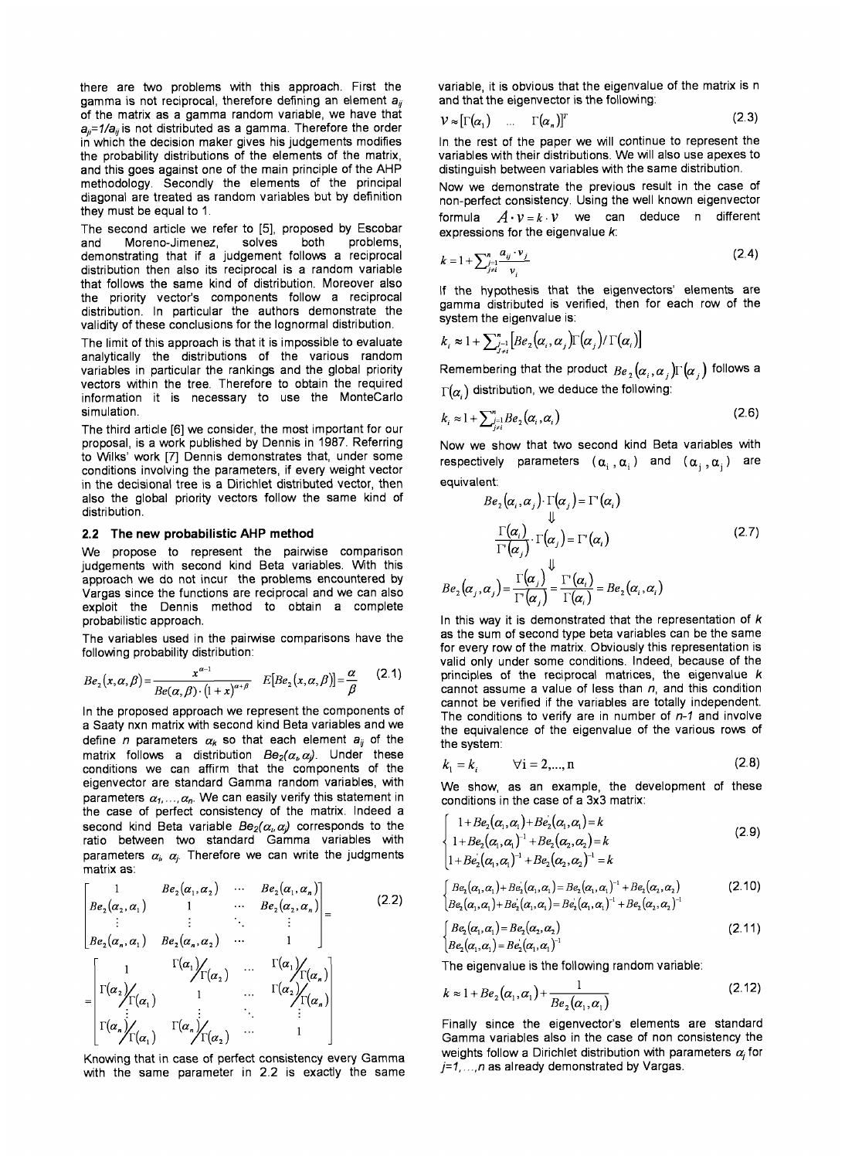there are two problems with this approach. First the gamma is not reciprocal, therefore defining an element  $a_{ii}$ of the matrix as a gamma random variable, we have that a<sub>ii</sub>=1/a<sub>ii</sub> is not distributed as a gamma. Therefore the order in which the decision maker gives his judgements modifies the probability distributions of the elements of the matrix, and this goes against one of the main principle of the AHP methodology. Secondly the elements of the principal diagonal are treated as random variables but by definition they must be equal to 1.

The second article we refer to [5], proposed by Escobar<br>and Moreno-Jimenez, solves both problems. Moreno-Jimenez, solves demonstrating that if a judgement follows a reciprocal distribution then also its reciprocal is a random variable that follows the same kind of distribution. Moreover also the priority vector's components follow a reciprocal distribution. In particular the authors demonstrate the validity of these conclusions for the lognormal distribution.

The limit of this approach is that it is impossible to evaluate analytically the distributions of the various random variables in particular the rankings and the global priority vectors within the tree. Therefore to obtain the required information it is necessary to use the MonteCarlo simulation.

The third article [6] we consider, the most important for our proposal, is a work published by Dennis in 1987. Referring to Wilks' work [7] Dennis demonstrates that, under some conditions involving the parameters, if every weight vector in the decisional tree **is** a Dirichlet distributed vector, then also the global priority vectors follow the same kind of distribution.

## **2.2 The new probabilistic AHP method**

We propose to represent the pairwise comparison judgements with second kind Beta variables. With this approach we do not incur the problems encountered by Vargas since the functions are reciprocal and we can also exploit the Dennis method to obtain a complete probabilistic approach.

The variables used in the pairwise comparisons have the following probability distribution:

$$
Be_2(x,\alpha,\beta) = \frac{x^{\alpha-1}}{Be(\alpha,\beta) \cdot (1+x)^{\alpha+\beta}} \quad E[Be_2(x,\alpha,\beta)] = \frac{\alpha}{\beta} \qquad (2.1)
$$

In the proposed approach we represent the components of a Saaty nxn matrix with second kind Beta variables and we define *n* parameters  $\alpha_k$  so that each element  $a_{ij}$  of the matrix follows a distribution  $Be_2(\alpha_\nu \alpha_\nu)$ . Under these conditions we can affirm that the components of the eigenvector are standard Gamma random variables, with parameters  $\alpha_1, \ldots, \alpha_n$ . We can easily verify this statement in the case of perfect consistency of the matrix. Indeed a second kind Beta variable  $Be_2(\alpha_\mu \alpha_\nu)$  corresponds to the ratio between two standard Gamma variables with parameters  $\alpha_i$ ,  $\alpha_j$ . Therefore we can write the judgments matrix as:

$$
\begin{bmatrix}\n1 & Be_2(\alpha_1, \alpha_2) & \cdots & Be_2(\alpha_1, \alpha_n) \\
Be_2(\alpha_2, \alpha_1) & 1 & \cdots & Be_2(\alpha_2, \alpha_n) \\
\vdots & \vdots & \ddots & \vdots \\
Be_2(\alpha_n, \alpha_1) & Be_2(\alpha_n, \alpha_2) & \cdots & 1\n\end{bmatrix} = \n\begin{bmatrix}\n1 & \Gamma(\alpha_1) \\
\Gamma(\alpha_2) \\
\vdots \\
\Gamma(\alpha_n) \\
\Gamma(\alpha_1) & 1 & \cdots & \Gamma(\alpha_n) \\
\vdots \\
\Gamma(\alpha_n) \\
\Gamma(\alpha_1) & \Gamma(\alpha_n) \\
\Gamma(\alpha_2) & \cdots & 1\n\end{bmatrix}
$$
\n(2.2)

Knowing that in case of perfect consistency every Gamma with the same parameter in 2.2 is exactly the same variable, it is obvious that the eigenvalue of the matrix is n and that the eigenvector **is** the following:

$$
V \approx [\Gamma(\alpha_1) \quad \dots \quad \Gamma(\alpha_n)]^T
$$
 (2.3)

In the rest of the paper we will continue to represent the variables with their distributions. We will also use apexes to distinguish between variables with the same distribution.

Now we demonstrate the previous result in the case of non-perfect consistency. Using the well known eigenvector formula  $A \cdot v = k \cdot v$  we can deduce n different expressions for the eigenvalue *k:* 

$$
k = 1 + \sum_{\substack{j=1 \\ j \neq i}}^{n} \frac{a_{ij} \cdot v_j}{v_i}
$$
 (2.4)

If the hypothesis that the eigenvectors' elements are gamma distributed is verified, then for each row of the system the eigenvalue is:

$$
k_i \approx 1 + \sum_{j=1}^n \left[ B e_2(\alpha_i, \alpha_j) \Gamma(\alpha_j) / \Gamma(\alpha_i) \right]
$$

Remembering that the product  $~_{Be~_2}(\alpha_{_i},\alpha_{_j})\Gamma(\alpha_{_j})$  follows a  $\Gamma(\alpha)$  distribution, we deduce the following:

$$
k_i \approx 1 + \sum_{j=1}^n B e_2(\alpha_i, \alpha_i)
$$
 (2.6)

Now we show that two second kind Beta variables with respectively parameters  $(\alpha_i, \alpha_j)$  and  $(\alpha_j, \alpha_j)$  are equivalent:

$$
Be_2(\alpha_i, \alpha_j) \cdot \Gamma(\alpha_j) = \Gamma'(\alpha_i)
$$
  

$$
\downarrow \qquad \qquad \downarrow \qquad \qquad \downarrow
$$
  

$$
\frac{\Gamma(\alpha_i)}{\Gamma'(\alpha_j)} \cdot \Gamma(\alpha_j) = \Gamma'(\alpha_i)
$$
  

$$
Be_2(\alpha_j, \alpha_j) = \frac{\Gamma(\alpha_j)}{\Gamma'(\alpha_j)} \stackrel{\downarrow}{=} \frac{\Gamma'(\alpha_i)}{\Gamma(\alpha_i)} = Be_2(\alpha_i, \alpha_i)
$$
  
(2.7)

In this way it is demonstrated that the representation of *k*  as the sum of second type beta variables can be the same for every row of the matrix. Obviously this representation is valid only under some conditions. Indeed, because of the principles of the reciprocal matrices, the eigenvalue *k*  cannot assume a value of less than *n,* and this condition cannot be verified if the variables are totally independent. The conditions to verify are in number of *n-I* and involve the equivalence of the eigenvalue of the various rows of the system:

$$
k_1 = k_i \qquad \forall i = 2,...,n \qquad (2.8)
$$

We show, as an example, the development of these conditions in the case of a 3x3 matrix:

$$
\begin{cases}\n1+B e_2(\alpha_1,\alpha_1)+B e_2(\alpha_1,\alpha_1)=k \\
1+B e_2(\alpha_1,\alpha_1)^{-1}+B e_2(\alpha_2,\alpha_2)=k \\
1+B e_2(\alpha_1,\alpha_1)^{-1}+B e_2(\alpha_2,\alpha_2)^{-1}=k\n\end{cases}
$$
\n(2.9)

$$
\begin{cases}\nBe_2(\alpha_1, \alpha_1) + Be_2'(\alpha_1, \alpha_1) = Be_2(\alpha_1, \alpha_1)^{-1} + Be_2(\alpha_2, \alpha_2) \\
Be_2(\alpha_1, \alpha_1) + Be_2'(\alpha_1, \alpha_1) = Be_2(\alpha_1, \alpha_1)^{-1} + Be_2(\alpha_2, \alpha_2)^{-1}\n\end{cases}
$$
\n(2.10)

$$
\begin{cases}\nBe_2(\alpha_1, \alpha_1) = Be_2(\alpha_2, \alpha_2) \\
Be_2(\alpha_1, \alpha_1) = Be_2(\alpha_1, \alpha_1)^{-1}\n\end{cases}
$$
\n(2.11)

The eigenvalue **is** the following random variable:

$$
k \approx 1 + Be_2(\alpha_1, \alpha_1) + \frac{1}{Be_2(\alpha_1, \alpha_1)}
$$
\n(2.12)

Finally since the eigenvector's elements are standard Gamma variables also in the case of non consistency the weights follow a Dirichlet distribution with parameters  $\alpha_i$  for *j=1,* ..., *n* as already demonstrated by Vargas.